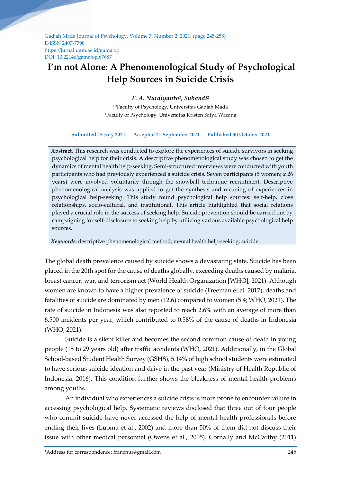Gadjah Mada Journal of Psychology, Volume 7, Number 2, 2021: (page 245-258) E-ISSN 2407-7798 https://jurnal.ugm.ac.id/gamajop DOI: 10.22146/gamajop.67687

# **I'm not Alone: A Phenomenological Study of Psychological Help Sources in Suicide Crisis**

# *F. A. Nurdiyanto<sup>1</sup> , Subandi<sup>2</sup>*

1,2Faculty of Psychology, Universitas Gadjah Mada <sup>1</sup>Faculty of Psychology, Universitas Kristen Satya Wacana

### **Submitted 15 July 2021 Accepted 21 September 2021 Published 30 October 2021**

**Abstract.** This research was conducted to explore the experiences of suicide survivors in seeking psychological help for their crisis. A descriptive phenomenological study was chosen to get the dynamics of mental health help-seeking. Semi-structured interviews were conducted with youth participants who had previously experienced a suicide crisis. Seven participants (5 women;  $\bar{x}$  26 years) were involved voluntarily through the snowball technique recruitment. Descriptive phenomenological analysis was applied to get the synthesis and meaning of experiences in psychological help-seeking. This study found psychological help sources: self-help, close relationships, socio-cultural, and institutional. This article highlighted that social relations played a crucial role in the success of seeking help. Suicide prevention should be carried out by campaigning for self-disclosure to seeking help by utilizing various available psychological help sources.

*Keywords***:** descriptive phenomenological method; mental health help-seeking; suicide

The global death prevalence caused by suicide shows a devastating state. Suicide has been placed in the 20th spot for the cause of deaths globally, exceeding deaths caused by malaria, breast cancer, war, and terrorism act (World Health Organization [WHO], 2021). Although women are known to have a higher prevalence of suicide (Freeman et al. 2017), deaths and fatalities of suicide are dominated by men (12.6) compared to women (5.4; WHO, 2021). The rate of suicide in Indonesia was also reported to reach 2.6% with an average of more than 6,500 incidents per year, which contributed to 0.58% of the cause of deaths in Indonesia (WHO, 2021).

Suicide is a silent killer and becomes the second common cause of death in young people (15 to 29 years old) after traffic accidents (WHO, 2021). Additionally, in the Global School-based Student Health Survey (GSHS), 5.14% of high school students were estimated to have serious suicide ideation and drive in the past year (Ministry of Health Republic of Indonesia, 2016). This condition further shows the bleakness of mental health problems among youths.

An individual who experiences a suicide crisis is more prone to encounter failure in accessing psychological help. Systematic reviews disclosed that three out of four people who commit suicide have never accessed the help of mental health professionals before ending their lives (Luoma et al., 2002) and more than 50% of them did not discuss their issue with other medical personnel (Owens et al., 2005). Cornally and McCarthy (2011)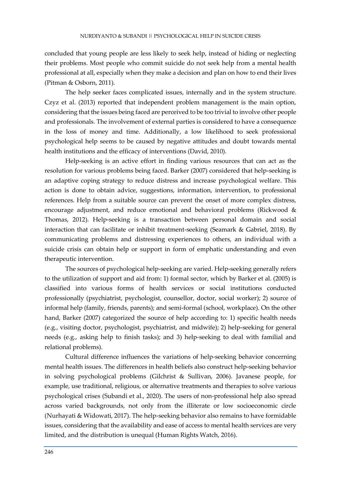concluded that young people are less likely to seek help, instead of hiding or neglecting their problems. Most people who commit suicide do not seek help from a mental health professional at all, especially when they make a decision and plan on how to end their lives (Pitman & Osborn, 2011).

The help seeker faces complicated issues, internally and in the system structure. Czyz et al. (2013) reported that independent problem management is the main option, considering that the issues being faced are perceived to be too trivial to involve other people and professionals. The involvement of external parties is considered to have a consequence in the loss of money and time. Additionally, a low likelihood to seek professional psychological help seems to be caused by negative attitudes and doubt towards mental health institutions and the efficacy of interventions (David, 2010).

Help-seeking is an active effort in finding various resources that can act as the resolution for various problems being faced. Barker (2007) considered that help-seeking is an adaptive coping strategy to reduce distress and increase psychological welfare. This action is done to obtain advice, suggestions, information, intervention, to professional references. Help from a suitable source can prevent the onset of more complex distress, encourage adjustment, and reduce emotional and behavioral problems (Rickwood & Thomas, 2012). Help-seeking is a transaction between personal domain and social interaction that can facilitate or inhibit treatment-seeking (Seamark & Gabriel, 2018). By communicating problems and distressing experiences to others, an individual with a suicide crisis can obtain help or support in form of emphatic understanding and even therapeutic intervention.

The sources of psychological help-seeking are varied. Help-seeking generally refers to the utilization of support and aid from: 1) formal sector, which by Barker et al. (2005) is classified into various forms of health services or social institutions conducted professionally (psychiatrist, psychologist, counsellor, doctor, social worker); 2) source of informal help (family, friends, parents); and semi-formal (school, workplace). On the other hand, Barker (2007) categorized the source of help according to: 1) specific health needs (e.g., visiting doctor, psychologist, psychiatrist, and midwife); 2) help-seeking for general needs (e.g., asking help to finish tasks); and 3) help-seeking to deal with familial and relational problems).

Cultural difference influences the variations of help-seeking behavior concerning mental health issues. The differences in health beliefs also construct help-seeking behavior in solving psychological problems (Gilchrist & Sullivan, 2006). Javanese people, for example, use traditional, religious, or alternative treatments and therapies to solve various psychological crises (Subandi et al., 2020). The users of non-professional help also spread across varied backgrounds, not only from the illiterate or low socioeconomic circle (Nurhayati & Widowati, 2017). The help-seeking behavior also remains to have formidable issues, considering that the availability and ease of access to mental health services are very limited, and the distribution is unequal (Human Rights Watch, 2016).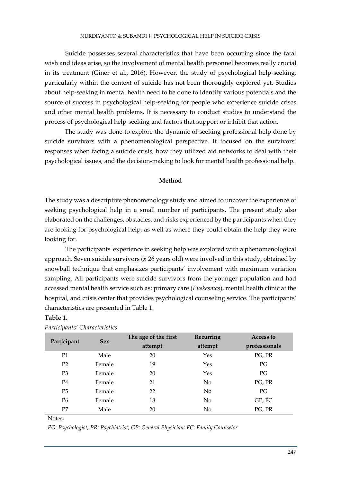Suicide possesses several characteristics that have been occurring since the fatal wish and ideas arise, so the involvement of mental health personnel becomes really crucial in its treatment (Giner et al., 2016). However, the study of psychological help-seeking, particularly within the context of suicide has not been thoroughly explored yet. Studies about help-seeking in mental health need to be done to identify various potentials and the source of success in psychological help-seeking for people who experience suicide crises and other mental health problems. It is necessary to conduct studies to understand the process of psychological help-seeking and factors that support or inhibit that action.

The study was done to explore the dynamic of seeking professional help done by suicide survivors with a phenomenological perspective. It focused on the survivors' responses when facing a suicide crisis, how they utilized aid networks to deal with their psychological issues, and the decision-making to look for mental health professional help.

## **Method**

The study was a descriptive phenomenology study and aimed to uncover the experience of seeking psychological help in a small number of participants. The present study also elaborated on the challenges, obstacles, and risks experienced by the participants when they are looking for psychological help, as well as where they could obtain the help they were looking for.

The participants' experience in seeking help was explored with a phenomenological approach. Seven suicide survivors ( $\bar{x}$  26 years old) were involved in this study, obtained by snowball technique that emphasizes participants' involvement with maximum variation sampling. All participants were suicide survivors from the younger population and had accessed mental health service such as: primary care (*Puskesmas*), mental health clinic at the hospital, and crisis center that provides psychological counseling service. The participants' characteristics are presented in Table 1.

| Participant    | <b>Sex</b> | The age of the first | Recurring      | Access to     |
|----------------|------------|----------------------|----------------|---------------|
|                |            | attempt              | attempt        | professionals |
| P <sub>1</sub> | Male       | 20                   | Yes            | PG, PR        |
| P <sub>2</sub> | Female     | 19                   | Yes            | PG            |
| P <sub>3</sub> | Female     | 20                   | Yes            | PG            |
| P4             | Female     | 21                   | N <sub>o</sub> | PG, PR        |
| P <sub>5</sub> | Female     | 22                   | N <sub>o</sub> | PG            |
| P <sub>6</sub> | Female     | 18                   | N <sub>o</sub> | GP, FC        |
| P7             | Male       | 20                   | N <sub>0</sub> | PG, PR        |

Notes:

**Table 1.**

*PG: Psychologist; PR: Psychiatrist; GP: General Physician; FC: Family Counselor*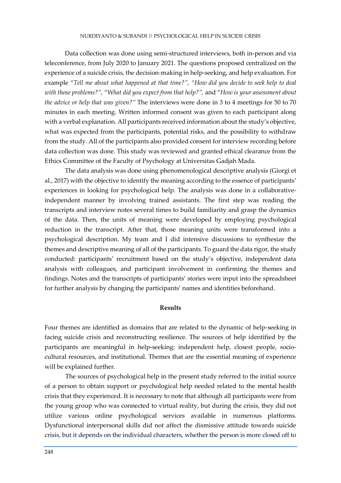Data collection was done using semi-structured interviews, both in-person and via teleconference, from July 2020 to January 2021. The questions proposed centralized on the experience of a suicide crisis, the decision-making in help-seeking, and help evaluation. For example "*Tell me about what happened at that time?", "How did you decide to seek help to deal with those problems?",* "*What did you expect from that help?",* and "*How is your assessment about the advice or help that was given?"* The interviews were done in 3 to 4 meetings for 50 to 70 minutes in each meeting. Written informed consent was given to each participant along with a verbal explanation. All participants received information about the study's objective, what was expected from the participants, potential risks, and the possibility to withdraw from the study. All of the participants also provided consent for interview recording before data collection was done. This study was reviewed and granted ethical clearance from the Ethics Committee of the Faculty of Psychology at Universitas Gadjah Mada.

The data analysis was done using phenomenological descriptive analysis (Giorgi et al., 2017) with the objective to identify the meaning according to the essence of participants' experiences in looking for psychological help. The analysis was done in a collaborativeindependent manner by involving trained assistants. The first step was reading the transcripts and interview notes several times to build familiarity and grasp the dynamics of the data. Then, the units of meaning were developed by employing psychological reduction in the transcript. After that, those meaning units were transformed into a psychological description. My team and I did intensive discussions to synthesize the themes and descriptive meaning of all of the participants. To guard the data rigor, the study conducted: participants' recruitment based on the study's objective, independent data analysis with colleagues, and participant involvement in confirming the themes and findings. Notes and the transcripts of participants' stories were input into the spreadsheet for further analysis by changing the participants' names and identities beforehand.

## **Results**

Four themes are identified as domains that are related to the dynamic of help-seeking in facing suicide crisis and reconstructing resilience. The sources of help identified by the participants are meaningful in help-seeking: independent help, closest people, sociocultural resources, and institutional. Themes that are the essential meaning of experience will be explained further.

The sources of psychological help in the present study referred to the initial source of a person to obtain support or psychological help needed related to the mental health crisis that they experienced. It is necessary to note that although all participants were from the young group who was connected to virtual reality, but during the crisis, they did not utilize various online psychological services available in numerous platforms. Dysfunctional interpersonal skills did not affect the dismissive attitude towards suicide crisis, but it depends on the individual characters, whether the person is more closed off to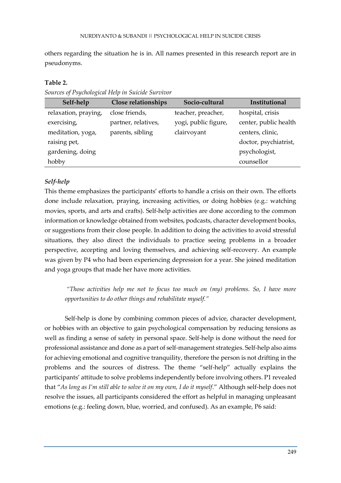others regarding the situation he is in. All names presented in this research report are in pseudonyms.

## **Table 2.**

*Sources of Psychological Help in Suicide Survivor*

| Self-help            | Close relationships | Socio-cultural       | Institutional         |
|----------------------|---------------------|----------------------|-----------------------|
| relaxation, praying, | close friends,      | teacher, preacher,   | hospital, crisis      |
| exercising,          | partner, relatives, | yogi, public figure, | center, public health |
| meditation, yoga,    | parents, sibling    | clairvoyant          | centers, clinic,      |
| raising pet,         |                     |                      | doctor, psychiatrist, |
| gardening, doing     |                     |                      | psychologist,         |
| hobby                |                     |                      | counsellor            |

# *Self-help*

This theme emphasizes the participants' efforts to handle a crisis on their own. The efforts done include relaxation, praying, increasing activities, or doing hobbies (e.g.: watching movies, sports, and arts and crafts). Self-help activities are done according to the common information or knowledge obtained from websites, podcasts, character development books, or suggestions from their close people. In addition to doing the activities to avoid stressful situations, they also direct the individuals to practice seeing problems in a broader perspective, accepting and loving themselves, and achieving self-recovery. An example was given by P4 who had been experiencing depression for a year. She joined meditation and yoga groups that made her have more activities.

*"Those activities help me not to focus too much on (my) problems. So, I have more opportunities to do other things and rehabilitate myself."*

Self-help is done by combining common pieces of advice, character development, or hobbies with an objective to gain psychological compensation by reducing tensions as well as finding a sense of safety in personal space. Self-help is done without the need for professional assistance and done as a part of self-management strategies. Self-help also aims for achieving emotional and cognitive tranquility, therefore the person is not drifting in the problems and the sources of distress. The theme "self-help" actually explains the participants' attitude to solve problems independently before involving others. P1 revealed that "*As long as I'm still able to solve it on my own, I do it myself*." Although self-help does not resolve the issues, all participants considered the effort as helpful in managing unpleasant emotions (e.g.: feeling down, blue, worried, and confused). As an example, P6 said: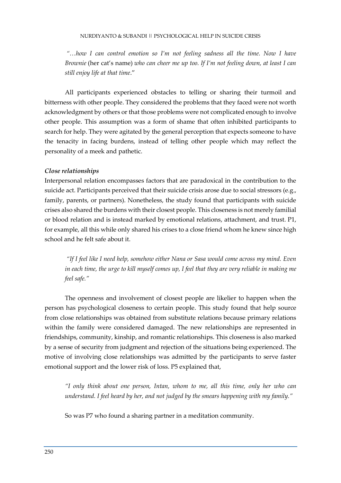*"…how I can control emotion so I'm not feeling sadness all the time. Now I have Brownie* (her cat's name) *who can cheer me up too. If I'm not feeling down, at least I can still enjoy life at that time*."

All participants experienced obstacles to telling or sharing their turmoil and bitterness with other people. They considered the problems that they faced were not worth acknowledgment by others or that those problems were not complicated enough to involve other people. This assumption was a form of shame that often inhibited participants to search for help. They were agitated by the general perception that expects someone to have the tenacity in facing burdens, instead of telling other people which may reflect the personality of a meek and pathetic.

## *Close relationships*

Interpersonal relation encompasses factors that are paradoxical in the contribution to the suicide act. Participants perceived that their suicide crisis arose due to social stressors (e.g., family, parents, or partners). Nonetheless, the study found that participants with suicide crises also shared the burdens with their closest people. This closeness is not merely familial or blood relation and is instead marked by emotional relations, attachment, and trust. P1, for example, all this while only shared his crises to a close friend whom he knew since high school and he felt safe about it.

*"If I feel like I need help, somehow either Nana or Sasa would come across my mind. Even in each time, the urge to kill myself comes up, I feel that they are very reliable in making me feel safe."*

The openness and involvement of closest people are likelier to happen when the person has psychological closeness to certain people. This study found that help source from close relationships was obtained from substitute relations because primary relations within the family were considered damaged. The new relationships are represented in friendships, community, kinship, and romantic relationships. This closeness is also marked by a sense of security from judgment and rejection of the situations being experienced. The motive of involving close relationships was admitted by the participants to serve faster emotional support and the lower risk of loss. P5 explained that,

*"I only think about one person, Intan, whom to me, all this time, only her who can understand. I feel heard by her, and not judged by the smears happening with my family."*

So was P7 who found a sharing partner in a meditation community.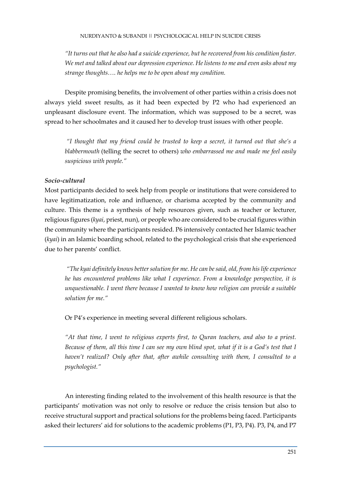*"It turns out that he also had a suicide experience, but he recovered from his condition faster. We met and talked about our depression experience. He listens to me and even asks about my strange thoughts…. he helps me to be open about my condition.*

Despite promising benefits, the involvement of other parties within a crisis does not always yield sweet results, as it had been expected by P2 who had experienced an unpleasant disclosure event. The information, which was supposed to be a secret, was spread to her schoolmates and it caused her to develop trust issues with other people.

*"I thought that my friend could be trusted to keep a secret, it turned out that she's a blabbermouth* (telling the secret to others) *who embarrassed me and made me feel easily suspicious with people."*

## *Socio-cultural*

Most participants decided to seek help from people or institutions that were considered to have legitimatization, role and influence, or charisma accepted by the community and culture. This theme is a synthesis of help resources given, such as teacher or lecturer, religious figures (*kyai*, priest, nun), or people who are considered to be crucial figures within the community where the participants resided. P6 intensively contacted her Islamic teacher (*kyai*) in an Islamic boarding school, related to the psychological crisis that she experienced due to her parents' conflict.

*"The kyai definitely knows better solution for me. He can be said, old, from his life experience he has encountered problems like what I experience. From a knowledge perspective, it is unquestionable. I went there because I wanted to know how religion can provide a suitable solution for me."*

Or P4's experience in meeting several different religious scholars.

*"At that time, I went to religious experts first, to Quran teachers, and also to a priest. Because of them, all this time I can see my own blind spot, what if it is a God's test that I haven't realized? Only after that, after awhile consulting with them, I consulted to a psychologist."*

An interesting finding related to the involvement of this health resource is that the participants' motivation was not only to resolve or reduce the crisis tension but also to receive structural support and practical solutions for the problems being faced. Participants asked their lecturers' aid for solutions to the academic problems (P1, P3, P4). P3, P4, and P7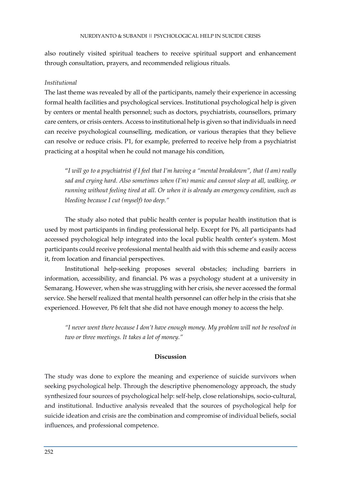also routinely visited spiritual teachers to receive spiritual support and enhancement through consultation, prayers, and recommended religious rituals.

## *Institutional*

The last theme was revealed by all of the participants, namely their experience in accessing formal health facilities and psychological services. Institutional psychological help is given by centers or mental health personnel; such as doctors, psychiatrists, counsellors, primary care centers, or crisis centers. Access to institutional help is given so that individuals in need can receive psychological counselling, medication, or various therapies that they believe can resolve or reduce crisis. P1, for example, preferred to receive help from a psychiatrist practicing at a hospital when he could not manage his condition,

"*I will go to a psychiatrist if I feel that I'm having a "mental breakdown", that (I am) really sad and crying hard. Also sometimes when (I'm) manic and cannot sleep at all, walking, or running without feeling tired at all. Or when it is already an emergency condition, such as bleeding because I cut (myself) too deep."*

The study also noted that public health center is popular health institution that is used by most participants in finding professional help. Except for P6, all participants had accessed psychological help integrated into the local public health center's system. Most participants could receive professional mental health aid with this scheme and easily access it, from location and financial perspectives.

Institutional help-seeking proposes several obstacles; including barriers in information, accessibility, and financial. P6 was a psychology student at a university in Semarang. However, when she was struggling with her crisis, she never accessed the formal service. She herself realized that mental health personnel can offer help in the crisis that she experienced. However, P6 felt that she did not have enough money to access the help.

*"I never went there because I don't have enough money. My problem will not be resolved in two or three meetings. It takes a lot of money."*

## **Discussion**

The study was done to explore the meaning and experience of suicide survivors when seeking psychological help. Through the descriptive phenomenology approach, the study synthesized four sources of psychological help: self-help, close relationships, socio-cultural, and institutional. Inductive analysis revealed that the sources of psychological help for suicide ideation and crisis are the combination and compromise of individual beliefs, social influences, and professional competence.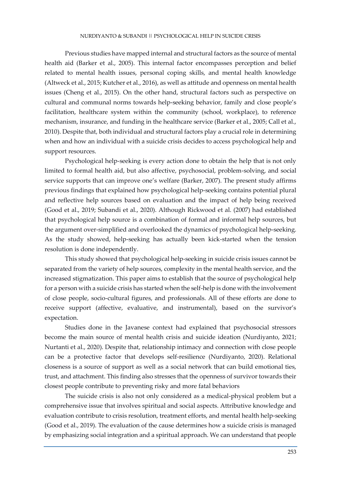Previous studies have mapped internal and structural factors as the source of mental health aid (Barker et al., 2005). This internal factor encompasses perception and belief related to mental health issues, personal coping skills, and mental health knowledge (Altweck et al., 2015; Kutcher et al., 2016), as well as attitude and openness on mental health issues (Cheng et al., 2015). On the other hand, structural factors such as perspective on cultural and communal norms towards help-seeking behavior, family and close people's facilitation, healthcare system within the community (school, workplace), to reference mechanism, insurance, and funding in the healthcare service (Barker et al., 2005; Call et al., 2010). Despite that, both individual and structural factors play a crucial role in determining when and how an individual with a suicide crisis decides to access psychological help and support resources.

Psychological help-seeking is every action done to obtain the help that is not only limited to formal health aid, but also affective, psychosocial, problem-solving, and social service supports that can improve one's welfare (Barker, 2007). The present study affirms previous findings that explained how psychological help-seeking contains potential plural and reflective help sources based on evaluation and the impact of help being received (Good et al., 2019; Subandi et al., 2020). Although Rickwood et al. (2007) had established that psychological help source is a combination of formal and informal help sources, but the argument over-simplified and overlooked the dynamics of psychological help-seeking. As the study showed, help-seeking has actually been kick-started when the tension resolution is done independently.

This study showed that psychological help-seeking in suicide crisis issues cannot be separated from the variety of help sources, complexity in the mental health service, and the increased stigmatization. This paper aims to establish that the source of psychological help for a person with a suicide crisis has started when the self-help is done with the involvement of close people, socio-cultural figures, and professionals. All of these efforts are done to receive support (affective, evaluative, and instrumental), based on the survivor's expectation.

Studies done in the Javanese context had explained that psychosocial stressors become the main source of mental health crisis and suicide ideation (Nurdiyanto, 2021; Nurtanti et al., 2020). Despite that, relationship intimacy and connection with close people can be a protective factor that develops self-resilience (Nurdiyanto, 2020). Relational closeness is a source of support as well as a social network that can build emotional ties, trust, and attachment. This finding also stresses that the openness of survivor towards their closest people contribute to preventing risky and more fatal behaviors

The suicide crisis is also not only considered as a medical-physical problem but a comprehensive issue that involves spiritual and social aspects. Attributive knowledge and evaluation contribute to crisis resolution, treatment efforts, and mental health help-seeking (Good et al., 2019). The evaluation of the cause determines how a suicide crisis is managed by emphasizing social integration and a spiritual approach. We can understand that people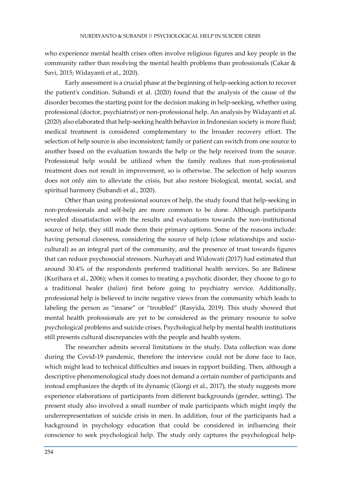who experience mental health crises often involve religious figures and key people in the community rather than resolving the mental health problems than professionals (Cakar & Savi, 2015; Widayanti et al., 2020).

Early assessment is a crucial phase at the beginning of help-seeking action to recover the patient's condition. Subandi et al. (2020) found that the analysis of the cause of the disorder becomes the starting point for the decision making in help-seeking, whether using professional (doctor, psychiatrist) or non-professional help. An analysis by Widayanti et al. (2020) also elaborated that help-seeking health behavior in Indonesian society is more fluid; medical treatment is considered complementary to the broader recovery effort. The selection of help source is also inconsistent; family or patient can switch from one source to another based on the evaluation towards the help or the help received from the source. Professional help would be utilized when the family realizes that non-professional treatment does not result in improvement, so is otherwise. The selection of help sources does not only aim to alleviate the crisis, but also restore biological, mental, social, and spiritual harmony (Subandi et al., 2020).

Other than using professional sources of help, the study found that help-seeking in non-professionals and self-help are more common to be done. Although participants revealed dissatisfaction with the results and evaluations towards the non-institutional source of help, they still made them their primary options. Some of the reasons include: having personal closeness, considering the source of help (close relationships and sociocultural) as an integral part of the community, and the presence of trust towards figures that can reduce psychosocial stressors. Nurhayati and Widowati (2017) had estimated that around 30.4% of the respondents preferred traditional health services. So are Balinese (Kurihara et al., 2006); when it comes to treating a psychotic disorder, they choose to go to a traditional healer (*balian*) first before going to psychiatry service. Additionally, professional help is believed to incite negative views from the community which leads to labeling the person as "insane" or "troubled" (Rasyida, 2019). This study showed that mental health professionals are yet to be considered as the primary resource to solve psychological problems and suicide crises. Psychological help by mental health institutions still presents cultural discrepancies with the people and health system.

The researcher admits several limitations in the study. Data collection was done during the Covid-19 pandemic, therefore the interview could not be done face to face, which might lead to technical difficulties and issues in rapport building. Then, although a descriptive phenomenological study does not demand a certain number of participants and instead emphasizes the depth of its dynamic (Giorgi et al., 2017), the study suggests more experience elaborations of participants from different backgrounds (gender, setting). The present study also involved a small number of male participants which might imply the underrepresentation of suicide crisis in men. In addition, four of the participants had a background in psychology education that could be considered in influencing their conscience to seek psychological help. The study only captures the psychological help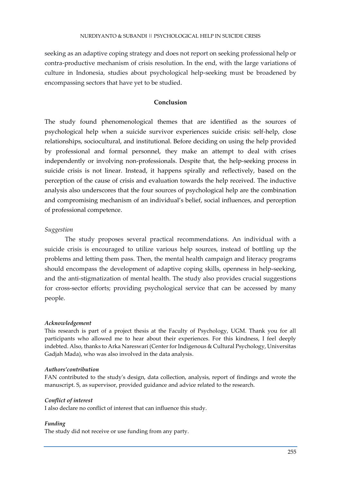seeking as an adaptive coping strategy and does not report on seeking professional help or contra-productive mechanism of crisis resolution. In the end, with the large variations of culture in Indonesia, studies about psychological help-seeking must be broadened by encompassing sectors that have yet to be studied.

## **Conclusion**

The study found phenomenological themes that are identified as the sources of psychological help when a suicide survivor experiences suicide crisis: self-help, close relationships, sociocultural, and institutional. Before deciding on using the help provided by professional and formal personnel, they make an attempt to deal with crises independently or involving non-professionals. Despite that, the help-seeking process in suicide crisis is not linear. Instead, it happens spirally and reflectively, based on the perception of the cause of crisis and evaluation towards the help received. The inductive analysis also underscores that the four sources of psychological help are the combination and compromising mechanism of an individual's belief, social influences, and perception of professional competence.

## *Suggestion*

The study proposes several practical recommendations. An individual with a suicide crisis is encouraged to utilize various help sources, instead of bottling up the problems and letting them pass. Then, the mental health campaign and literacy programs should encompass the development of adaptive coping skills, openness in help-seeking, and the anti-stigmatization of mental health. The study also provides crucial suggestions for cross-sector efforts; providing psychological service that can be accessed by many people.

### *Acknowledgement*

This research is part of a project thesis at the Faculty of Psychology, UGM. Thank you for all participants who allowed me to hear about their experiences. For this kindness, I feel deeply indebted. Also, thanks to Arka Nareswari (Center for Indigenous & Cultural Psychology, Universitas Gadjah Mada), who was also involved in the data analysis.

### *Authors'contribution*

FAN contributed to the study's design, data collection, analysis, report of findings and wrote the manuscript. S, as supervisor, provided guidance and advice related to the research.

### *Conflict of interest*

I also declare no conflict of interest that can influence this study.

### *Funding*

The study did not receive or use funding from any party.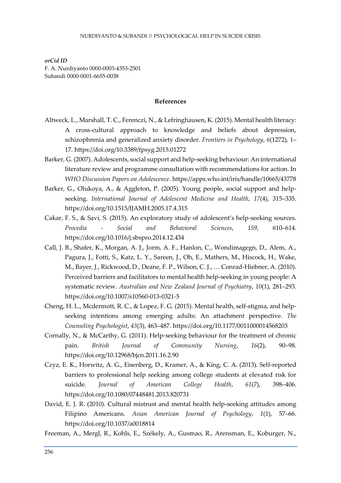*orCid ID* F. A. Nurdiyanto 0000-0003-4353-2501 Subandi 0000-0001-6655-0038

#### **References**

- Altweck, L., Marshall, T. C., Ferenczi, N., & Lefringhausen, K. (2015). Mental health literacy: A cross-cultural approach to knowledge and beliefs about depression, schizophrenia and generalized anxiety disorder. *Frontiers in Psychology*, *6*(1272), 1– 17. https://doi.org/10.3389/fpsyg.2015.01272
- Barker, G. (2007). Adolescents, social support and help-seeking behaviour: An international literature review and programme consultation with recommendations for action. In *WHO Discussion Papers on Adolescence*. https://apps.who.int/iris/handle/10665/43778
- Barker, G., Olukoya, A., & Aggleton, P. (2005). Young people, social support and helpseeking. *International Journal of Adolescent Medicine and Health*, *17*(4), 315–335. https://doi.org/10.1515/IJAMH.2005.17.4.315
- Cakar, F. S., & Savi, S. (2015). An exploratory study of adolescent's help-seeking sources. *Procedia - Social and Behavioral Sciences*, *159*, 610–614. https://doi.org/10.1016/j.sbspro.2014.12.434
- Call, J. B., Shafer, K., Morgan, A. J., Jorm, A. F., Hanlon, C., Wondimagegn, D., Alem, A., Pagura, J., Fotti, S., Katz, L. Y., Sareen, J., Oh, E., Mathers, M., Hiscock, H., Wake, M., Bayer, J., Rickwood, D., Deane, F. P., Wilson, C. J., … Conrad-Hiebner, A. (2010). Perceived barriers and facilitators to mental health help-seeking in young people: A systematic review. *Australian and New Zealand Journal of Psychiatry*, *10*(1), 281–293. https://doi.org/10.1007/s10560-013-0321-5
- Cheng, H. L., Mcdermott, R. C., & Lopez, F. G. (2015). Mental health, self-stigma, and helpseeking intentions among emerging adults: An attachment perspective. *The Counseling Psychologist*, *43*(3), 463–487. https://doi.org/10.1177/0011000014568203
- Cornally, N., & McCarthy, G. (2011). Help-seeking behaviour for the treatment of chronic pain. *British Journal of Community Nursing*, *16*(2), 90–98. https://doi.org/10.12968/bjcn.2011.16.2.90
- Czyz, E. K., Horwitz, A. G., Eisenberg, D., Kramer, A., & King, C. A. (2013). Self-reported barriers to professional help seeking among college students at elevated risk for suicide. *Journal of American College Health*, *61*(7), 398–406. https://doi.org/10.1080/07448481.2013.820731
- David, E. J. R. (2010). Cultural mistrust and mental health help-seeking attitudes among Filipino Americans. *Asian American Journal of Psychology*, *1*(1), 57–66. https://doi.org/10.1037/a0018814
- Freeman, A., Mergl, R., Kohls, E., Székely, A., Gusmao, R., Arensman, E., Koburger, N.,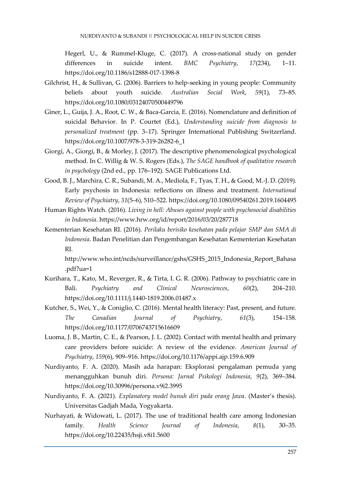Hegerl, U., & Rummel-Kluge, C. (2017). A cross-national study on gender differences in suicide intent. *BMC Psychiatry*, *17*(234), 1–11. https://doi.org/10.1186/s12888-017-1398-8

- Gilchrist, H., & Sullivan, G. (2006). Barriers to help-seeking in young people: Community beliefs about youth suicide. *Australian Social Work*, *59*(1), 73–85. https://doi.org/10.1080/03124070500449796
- Giner, L., Guija, J. A., Root, C. W., & Baca-Garcia, E. (2016). Nomenclature and definition of suicidal Behavior. In P. Courtet (Ed.), *Understanding suicide from diagnosis to personalized treatment* (pp. 3–17). Springer International Publishing Switzerland. https://doi.org/10.1007/978-3-319-26282-6\_1
- Giorgi, A., Giorgi, B., & Morley, J. (2017). The descriptive phenomenological psychological method. In C. Willig & W. S. Rogers (Eds.), *The SAGE handbook of qualitative research in psychology* (2nd ed., pp. 176–192). SAGE Publications Ltd.
- Good, B. J., Marchira, C. R., Subandi, M. A., Mediola, F., Tyas, T. H., & Good, M.-J. D. (2019). Early psychosis in Indonesia: reflections on illness and treatment. *International Review of Psychiatry*, *31*(5–6), 510–522. https://doi.org/10.1080/09540261.2019.1604495
- Human Rights Watch. (2016). *Living in hell: Abuses against people with psychosocial disabilities in Indonesia*. https://www.hrw.org/id/report/2016/03/20/287718
- Kementerian Kesehatan RI. (2016). *Perilaku berisiko kesehatan pada pelajar SMP dan SMA di Indonesia*. Badan Penelitian dan Pengembangan Kesehatan Kementerian Kesehatan RI.

http://www.who.int/ncds/surveillance/gshs/GSHS\_2015\_Indonesia\_Report\_Bahasa .pdf?ua=1

- Kurihara, T., Kato, M., Reverger, R., & Tirta, I. G. R. (2006). Pathway to psychiatric care in Bali. *Psychiatry and Clinical Neurosciences*, *60*(2), 204–210. https://doi.org/10.1111/j.1440-1819.2006.01487.x
- Kutcher, S., Wei, Y., & Coniglio, C. (2016). Mental health literacy: Past, present, and future. *The Canadian Journal of Psychiatry*, *61*(3), 154–158. https://doi.org/10.1177/0706743715616609
- Luoma, J. B., Martin, C. E., & Pearson, J. L. (2002). Contact with mental health and primary care providers before suicide: A review of the evidence. *American Journal of Psychiatry*, *159*(6), 909–916. https://doi.org/10.1176/appi.ajp.159.6.909
- Nurdiyanto, F. A. (2020). Masih ada harapan: Eksplorasi pengalaman pemuda yang menangguhkan bunuh diri. *Persona: Jurnal Psikologi Indonesia*, *9*(2), 369–384. https://doi.org/10.30996/persona.v9i2.3995
- Nurdiyanto, F. A. (2021). *Explanatory model bunuh diri pada orang Jawa*. (Master's thesis). Universitas Gadjah Mada, Yogyakarta.
- Nurhayati, & Widowati, L. (2017). The use of traditional health care among Indonesian family. *Health Science Journal of Indonesia*, *8*(1), 30–35. https://doi.org/10.22435/hsji.v8i1.5600